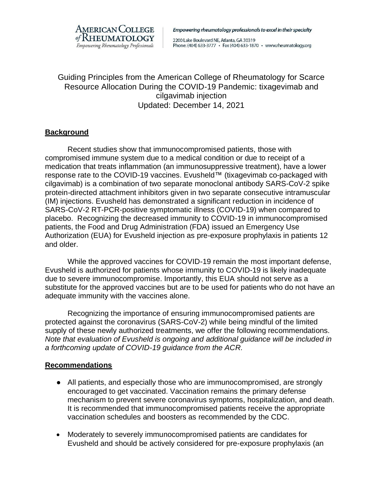

Empowering rheumatology professionals to excel in their specialty

2200 Lake Boulevard NE, Atlanta, GA 30319 Phone: (404) 633-3777 · Fax (404) 633-1870 · www.rheumatology.org

Guiding Principles from the American College of Rheumatology for Scarce Resource Allocation During the COVID-19 Pandemic: tixagevimab and cilgavimab injection Updated: December 14, 2021

## **Background**

Recent studies show that immunocompromised patients, those with compromised immune system due to a medical condition or due to receipt of a medication that treats inflammation (an immunosuppressive treatment), have a lower response rate to the COVID-19 vaccines. Evusheld™ (tixagevimab co-packaged with cilgavimab) is a combination of two separate monoclonal antibody SARS-CoV-2 spike protein-directed attachment inhibitors given in two separate consecutive intramuscular (IM) injections. Evusheld has demonstrated a significant reduction in incidence of SARS-CoV-2 RT-PCR-positive symptomatic illness (COVID-19) when compared to placebo. Recognizing the decreased immunity to COVID-19 in immunocompromised patients, the Food and Drug Administration (FDA) issued an Emergency Use Authorization (EUA) for Evusheld injection as pre-exposure prophylaxis in patients 12 and older.

While the approved vaccines for COVID-19 remain the most important defense, Evusheld is authorized for patients whose immunity to COVID-19 is likely inadequate due to severe immunocompromise. Importantly, this EUA should not serve as a substitute for the approved vaccines but are to be used for patients who do not have an adequate immunity with the vaccines alone.

Recognizing the importance of ensuring immunocompromised patients are protected against the coronavirus (SARS-CoV-2) while being mindful of the limited supply of these newly authorized treatments, we offer the following recommendations. *Note that evaluation of Evusheld is ongoing and additional guidance will be included in a forthcoming update of COVID-19 guidance from the ACR.*

## **Recommendations**

- All patients, and especially those who are immunocompromised, are strongly encouraged to get vaccinated. Vaccination remains the primary defense mechanism to prevent severe coronavirus symptoms, hospitalization, and death. It is recommended that immunocompromised patients receive the appropriate vaccination schedules and boosters as recommended by the CDC.
- Moderately to severely immunocompromised patients are candidates for Evusheld and should be actively considered for pre-exposure prophylaxis (an